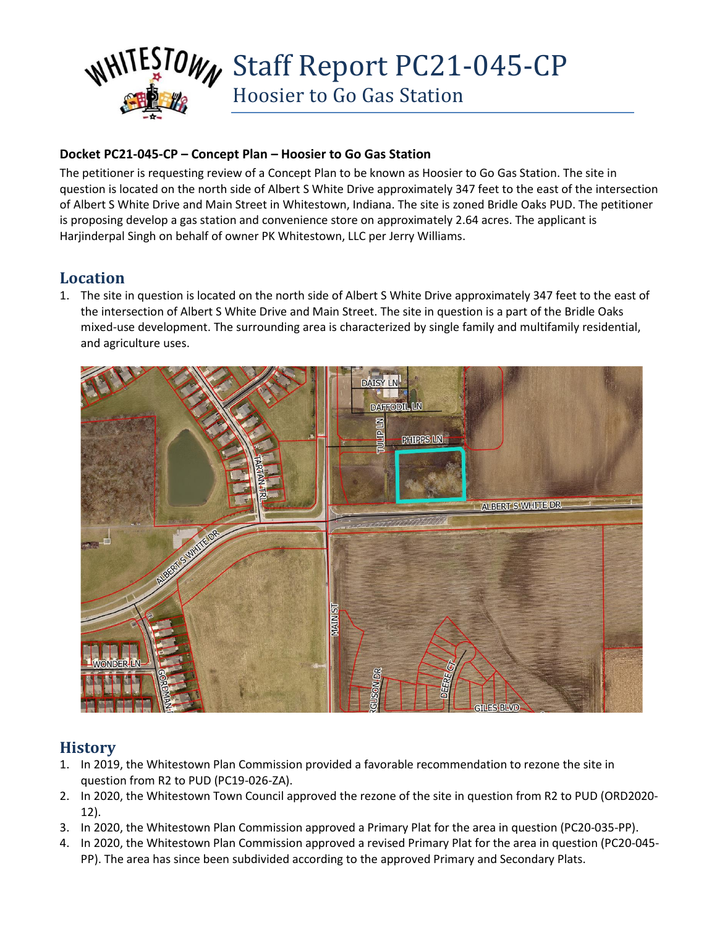

#### **Docket PC21-045-CP – Concept Plan – Hoosier to Go Gas Station**

The petitioner is requesting review of a Concept Plan to be known as Hoosier to Go Gas Station. The site in question is located on the north side of Albert S White Drive approximately 347 feet to the east of the intersection of Albert S White Drive and Main Street in Whitestown, Indiana. The site is zoned Bridle Oaks PUD. The petitioner is proposing develop a gas station and convenience store on approximately 2.64 acres. The applicant is Harjinderpal Singh on behalf of owner PK Whitestown, LLC per Jerry Williams.

### **Location**

1. The site in question is located on the north side of Albert S White Drive approximately 347 feet to the east of the intersection of Albert S White Drive and Main Street. The site in question is a part of the Bridle Oaks mixed-use development. The surrounding area is characterized by single family and multifamily residential, and agriculture uses.



### **History**

- 1. In 2019, the Whitestown Plan Commission provided a favorable recommendation to rezone the site in question from R2 to PUD (PC19-026-ZA).
- 2. In 2020, the Whitestown Town Council approved the rezone of the site in question from R2 to PUD (ORD2020- 12).
- 3. In 2020, the Whitestown Plan Commission approved a Primary Plat for the area in question (PC20-035-PP).
- 4. In 2020, the Whitestown Plan Commission approved a revised Primary Plat for the area in question (PC20-045- PP). The area has since been subdivided according to the approved Primary and Secondary Plats.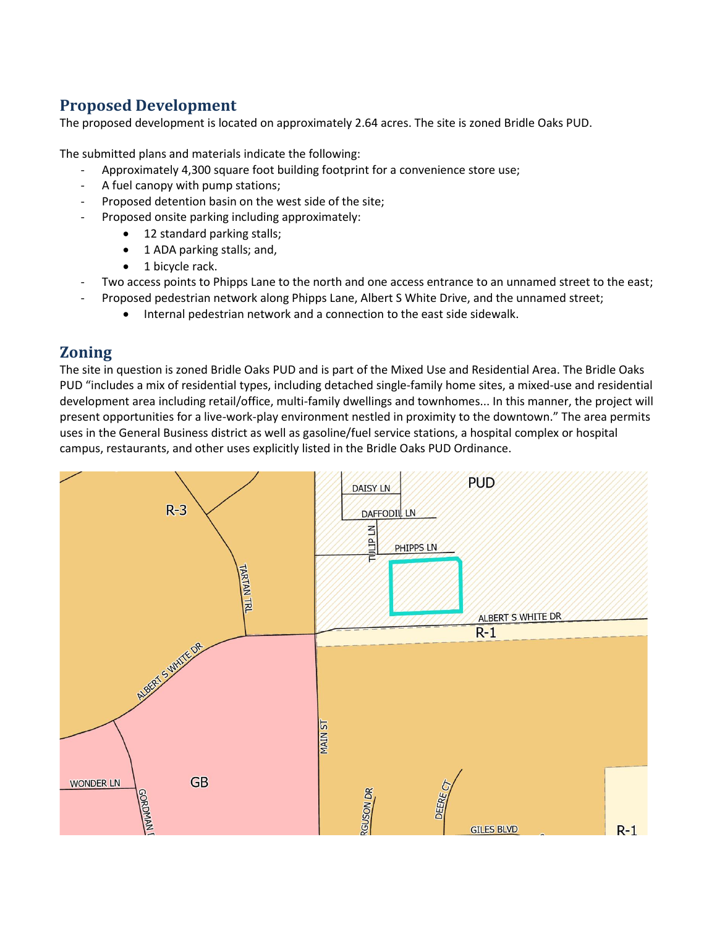# **Proposed Development**

The proposed development is located on approximately 2.64 acres. The site is zoned Bridle Oaks PUD.

The submitted plans and materials indicate the following:

- Approximately 4,300 square foot building footprint for a convenience store use;
- A fuel canopy with pump stations;
- Proposed detention basin on the west side of the site;
- Proposed onsite parking including approximately:
	- 12 standard parking stalls;
	- 1 ADA parking stalls; and,
	- 1 bicycle rack.
- Two access points to Phipps Lane to the north and one access entrance to an unnamed street to the east;
- Proposed pedestrian network along Phipps Lane, Albert S White Drive, and the unnamed street;
	- Internal pedestrian network and a connection to the east side sidewalk.

### **Zoning**

The site in question is zoned Bridle Oaks PUD and is part of the Mixed Use and Residential Area. The Bridle Oaks PUD "includes a mix of residential types, including detached single-family home sites, a mixed-use and residential development area including retail/office, multi-family dwellings and townhomes... In this manner, the project will present opportunities for a live-work-play environment nestled in proximity to the downtown." The area permits uses in the General Business district as well as gasoline/fuel service stations, a hospital complex or hospital campus, restaurants, and other uses explicitly listed in the Bridle Oaks PUD Ordinance.

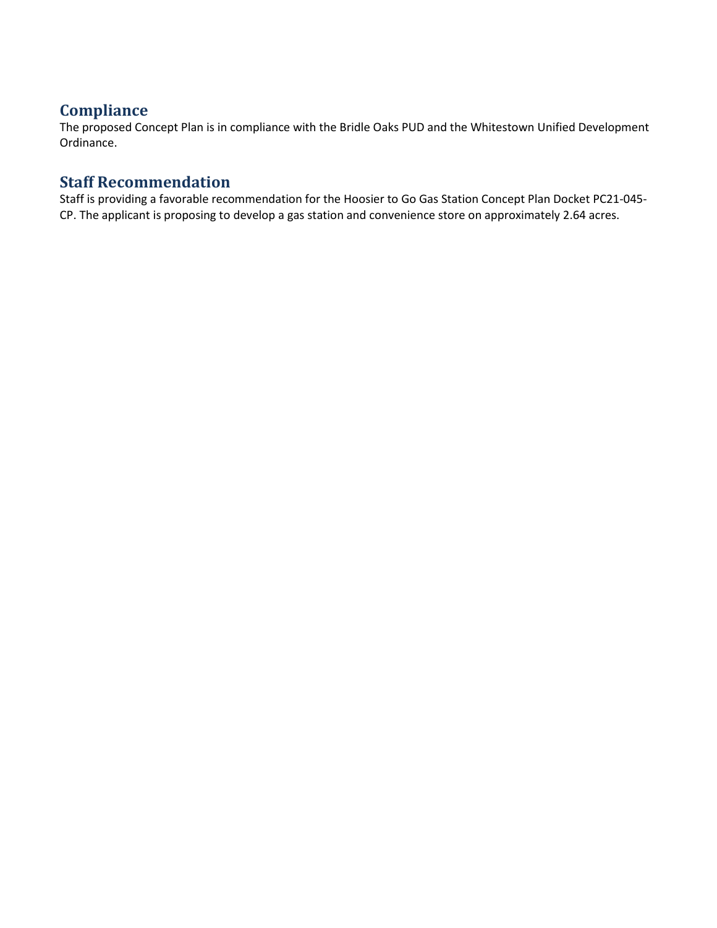## **Compliance**

The proposed Concept Plan is in compliance with the Bridle Oaks PUD and the Whitestown Unified Development Ordinance.

## **Staff Recommendation**

Staff is providing a favorable recommendation for the Hoosier to Go Gas Station Concept Plan Docket PC21-045- CP. The applicant is proposing to develop a gas station and convenience store on approximately 2.64 acres.